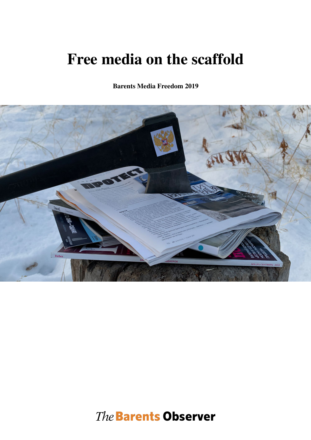# **Free media on the scaffold**

**Barents Media Freedom 2019**



The Barents Observer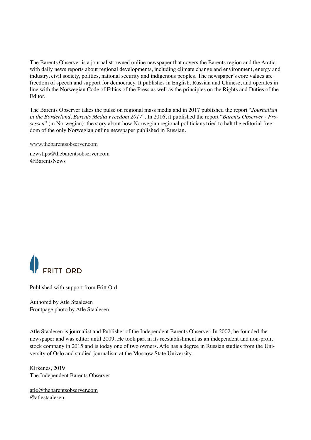The Barents Observer is a journalist-owned online newspaper that covers the Barents region and the Arctic with daily news reports about regional developments, including climate change and environment, energy and industry, civil society, politics, national security and indigenous peoples. The newspaper's core values are freedom of speech and support for democracy. It publishes in English, Russian and Chinese, and operates in line with the Norwegian Code of Ethics of the Press as well as the principles on the Rights and Duties of the Editor.

The Barents Observer takes the pulse on regional mass media and in 2017 published the report "*Journalism in the Borderland. Barents Media Freedom 2017*". In 2016, it published the report "*Barents Observer - Prosessen*" (in Norwegian), the story about how Norwegian regional politicians tried to halt the editorial freedom of the only Norwegian online newspaper published in Russian.

[www.thebarentsobserver.com](http://www.thebarentsobserver.com)

newstips@thebarentsobserver.com @BarentsNews



Published with support from Fritt Ord

Authored by Atle Staalesen Frontpage photo by Atle Staalesen

Atle Staalesen is journalist and Publisher of the Independent Barents Observer. In 2002, he founded the newspaper and was editor until 2009. He took part in its reestablishment as an independent and non-profit stock company in 2015 and is today one of two owners. Atle has a degree in Russian studies from the University of Oslo and studied journalism at the Moscow State University.

Kirkenes, 2019 The Independent Barents Observer

[atle@thebarentsobserver.com](mailto:atle@thebarentsobserver.com) @atlestaalesen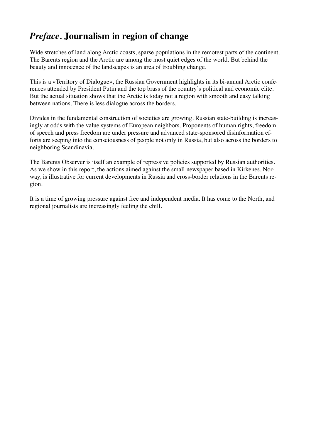# *Preface.* **Journalism in region of change**

Wide stretches of land along Arctic coasts, sparse populations in the remotest parts of the continent. The Barents region and the Arctic are among the most quiet edges of the world. But behind the beauty and innocence of the landscapes is an area of troubling change.

This is a «Territory of Dialogue», the Russian Government highlights in its bi-annual Arctic conferences attended by President Putin and the top brass of the country's political and economic elite. But the actual situation shows that the Arctic is today not a region with smooth and easy talking between nations. There is less dialogue across the borders.

Divides in the fundamental construction of societies are growing. Russian state-building is increasingly at odds with the value systems of European neighbors. Proponents of human rights, freedom of speech and press freedom are under pressure and advanced state-sponsored disinformation efforts are seeping into the consciousness of people not only in Russia, but also across the borders to neighboring Scandinavia.

The Barents Observer is itself an example of repressive policies supported by Russian authorities. As we show in this report, the actions aimed against the small newspaper based in Kirkenes, Norway, is illustrative for current developments in Russia and cross-border relations in the Barents region.

It is a time of growing pressure against free and independent media. It has come to the North, and regional journalists are increasingly feeling the chill.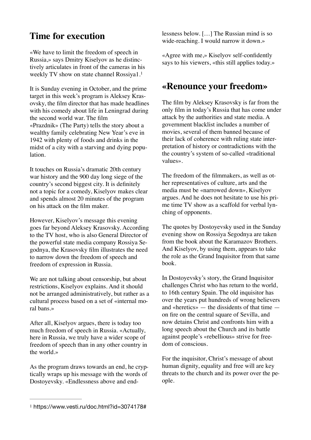## **Time for execution**

«We have to limit the freedom of speech in Russia,» says Dmitry Kiselyov as he distinctively articulates in front of the cameras in his weekly TV show on state channel Rossiya1.[1](#page-3-0)

It is Sunday evening in October, and the prime target in this week's program is Aleksey Krasovsky, the film director that has made headlines with his comedy about life in Leningrad during the second world war. The film «Prazdnik» (The Party) tells the story about a wealthy family celebrating New Year's eve in 1942 with plenty of foods and drinks in the midst of a city with a starving and dying population.

It touches on Russia's dramatic 20th century war history and the 900 day long siege of the country's second biggest city. It is definitely not a topic for a comedy, Kiselyov makes clear and spends almost 20 minutes of the program on his attack on the film maker.

However, Kiselyov's message this evening goes far beyond Aleksey Krasovsky. According to the TV host, who is also General Director of the powerful state media company Rossiya Segodnya, the Krasovsky film illustrates the need to narrow down the freedom of speech and freedom of expression in Russia.

We are not talking about censorship, but about restrictions, Kiselyov explains. And it should not be arranged administratively, but rather as a cultural process based on a set of «internal moral bans.»

After all, Kiselyov argues, there is today too much freedom of speech in Russia. «Actually, here in Russia, we truly have a wider scope of freedom of speech than in any other country in the world.»

As the program draws towards an end, he cryptically wraps up his message with the words of Dostoyevsky. «Endlessness above and endlessness below. […] The Russian mind is so wide-reaching. I would narrow it down.»

«Agree with me,» Kiselyov self-confidently says to his viewers, «this still applies today.»

#### <span id="page-3-1"></span>**«Renounce your freedom»**

The film by Aleksey Krasovsky is far from the only film in today's Russia that has come under attack by the authorities and state media. A government blacklist includes a number of movies, several of them banned because of their lack of coherence with ruling state interpretation of history or contradictions with the the country's system of so-called «traditional values».

The freedom of the filmmakers, as well as other representatives of culture, arts and the media must be «narrowed down», Kiselyov argues. And he does not hesitate to use his prime time TV show as a scaffold for verbal lynching of opponents.

The quotes by Dostoyevsky used in the Sunday evening show on Rossiya Segodnya are taken from the book about the Karamazov Brothers. And Kiselyov, by using them, appears to take the role as the Grand Inquisitor from that same book.

In Dostoyevsky's story, the Grand Inquisitor challenges Christ who has return to the world, to 16th century Spain. The old inquisitor has over the years put hundreds of wrong believers and «heretics» — the dissidents of that time on fire on the central square of Sevilla, and now detains Christ and confronts him with a long speech about the Church and its battle against people's «rebellious» strive for freedom of conscious.

For the inquisitor, Christ's message of about human dignity, equality and free will are key threats to the church and its power over the people.

<span id="page-3-0"></span>[<sup>1</sup>](#page-3-1) https://www.vesti.ru/doc.html?id=3074178#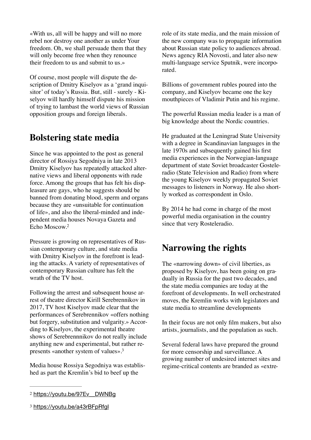«With us, all will be happy and will no more rebel nor destroy one another as under Your freedom. Oh, we shall persuade them that they will only become free when they renounce their freedom to us and submit to us.»

Of course, most people will dispute the description of Dmitry Kiselyov as a 'grand inquisitor' of today's Russia. But, still - surely - Kiselyov will hardly himself dispute his mission of trying to lambast the world views of Russian opposition groups and foreign liberals.

## **Bolstering state media**

Since he was appointed to the post as general director of Rossiya Segodniya in late 2013 Dmitry Kiselyov has repeatedly attacked alternative views and liberal opponents with rude force. Among the groups that has felt his displeasure are gays, who he suggests should be banned from donating blood, sperm and organs because they are «unsuitable for continuation of life», and also the liberal-minded and independent media houses Novaya Gazeta and Echo Moscow[.2](#page-4-0)

<span id="page-4-2"></span>Pressure is growing on representatives of Russian contemporary culture, and state media with Dmitry Kiselyov in the forefront is leading the attacks. A variety of representatives of contemporary Russian culture has felt the wrath of the TV host.

Following the arrest and subsequent house arrest of theatre director Kirill Serebrennikov in 2017, TV host Kiselyov made clear that the performances of Serebrennikov «offers nothing but forgery, substitution and vulgarity.» According to Kiselyov, the experimental theatre shows of Serebrennnikov do not really include anything new and experimental, but rather represents «another system of values»[.3](#page-4-1)

Media house Rossiya Segodniya was established as part the Kremlin's bid to beef up the

role of its state media, and the main mission of the new company was to propagate information about Russian state policy to audiences abroad. News agency RIA Novosti, and later also new multi-language service Sputnik, were incorporated.

Billions of government rubles poured into the company, and Kiselyov became one the key mouthpieces of Vladimir Putin and his regime.

The powerful Russian media leader is a man of big knowledge about the Nordic countries.

He graduated at the Leningrad State University with a degree in Scandinavian languages in the late 1970s and subsequently gained his first media experiences in the Norwegian-language department of state Soviet broadcaster Gosteleradio (State Television and Radio) from where the young Kiselyov weekly propagated Soviet messages to listeners in Norway. He also shortly worked as correspondent in Oslo.

By 2014 he had come in charge of the most powerful media organisation in the country since that very Rosteleradio.

## **Narrowing the rights**

The «narrowing down» of civil liberties, as proposed by Kiselyov, has been going on gradually in Russia for the past two decades, and the state media companies are today at the forefront of developments. In well orchestrated moves, the Kremlin works with legislators and state media to streamline developments

In their focus are not only film makers, but also artists, journalists, and the population as such.

<span id="page-4-3"></span>Several federal laws have prepared the ground for more censorship and surveillance. A growing number of undesired internet sites and regime-critical contents are branded as «extre-

<span id="page-4-0"></span>[<sup>2</sup>](#page-4-2) [https://youtu.be/97Ev\\_\\_DWNBg](https://youtu.be/97Ev__DWNBg)

<span id="page-4-1"></span>[<sup>3</sup>](#page-4-3) <https://youtu.be/a43rBFpRfgI>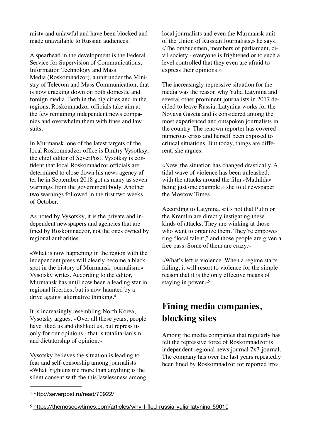mist» and unlawful and have been blocked and made unavailable to Russian audiences.

A spearhead in the development is the Federal Service for Supervision of Communications, Information Technology and Mass Media (Roskomnadzor), a unit under the Ministry of Telecom and Mass Communication, that is now cracking down on both domestic and foreign media. Both in the big cities and in the regions, Roskomnadzor officials take aim at the few remaining independent news companies and overwhelm them with fines and law suits.

In Murmansk, one of the latest targets of the local Roskomnadzor office is Dmitry Vysotksy, the chief editor of SeverPost. Vysotksy is confident that local Roskomnadzor officials are determined to close down his news agency after he in September 2018 got as many as seven warnings from the government body. Another two warnings followed in the first two weeks of October.

As noted by Vysotsky, it is the private and independent newspapers and agencies that are fined by Roskomnadzor, not the ones owned by regional authorities.

«What is now happening in the region with the independent press will clearly become a black spot in the history of Murmansk journalism,» Vysotsky writes. According to the editor, Murmansk has until now been a leading star in regional liberties, but is now haunted by a drive against alternative thinking[.4](#page-5-0)

It is increasingly resembling North Korea, Vysotsky argues. «Over all these years, people have liked us and disliked us, but repress us only for our opinions - that is totalitarianism and dictatorship of opinion.»

Vysotsky believes the situation is leading to fear and self-censorship among journalists. «What frightens me more than anything is the silent consent with the this lawlessness among local journalists and even the Murmansk unit of the Union of Russian Journalists,» he says. «The ombudsmen, members of parliament, civil society - everyone is frightened or to such a level controlled that they even are afraid to express their opinions.»

The increasingly repressive situation for the media was the reason why Yulia Latynina and several other prominent journalists in 2017 decided to leave Russia. Latynina works for the Novaya Gazeta and is considered among the most experienced and outspoken journalists in the country. The renown reporter has covered numerous crisis and herself been exposed to critical situations. But today, things are different, she argues.

«Now, the situation has changed drastically. A tidal wave of violence has been unleashed, with the attacks around the film «Mathilda» being just one example,» she told newspaper the Moscow Times.

According to Latynina, «it's not that Putin or the Kremlin are directly instigating these kinds of attacks. They are winking at those who want to organize them. They're empowering "local talent," and those people are given a free pass. Some of them are crazy.»

<span id="page-5-3"></span>«What's left is violence. When a regime starts failing, it will resort to violence for the simple reason that it is the only effective means of staying in power.[»5](#page-5-1)

## <span id="page-5-2"></span>**Fining media companies, blocking sites**

Among the media companies that regularly has felt the repressive force of Roskomnadzor is independent regional news journal 7x7-journal. The company has over the last years repeatedly been fined by Roskomnadzor for reported irre-

<span id="page-5-0"></span>[<sup>4</sup>](#page-5-2) http://severpost.ru/read/70922/

<span id="page-5-1"></span>[<sup>5</sup>](#page-5-3) <https://themoscowtimes.com/articles/why-I-fled-russia-yulia-latynina-59010>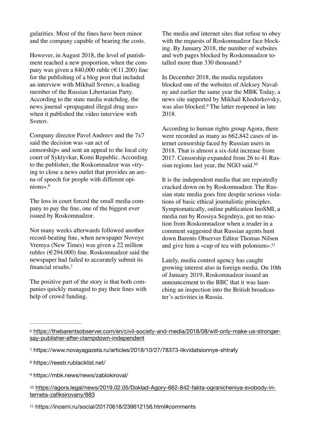gularities. Most of the fines have been minor and the company capable of bearing the costs.

However, in August 2018, the level of punishment reached a new proportion, when the company was given a 840,000 ruble ( $\in$ 11.200) fine for the publishing of a blog post that included an interview with Mikhail Svetov, a leading member of the Russian Libertarian Party. According to the state media watchdog, the news journal «propagated illegal drug use» when it published the video interview with Svetov.

Company director Pavel Andreev and the 7x7 said the decision was «an act of censorship» and sent an appeal to the local city court of Syktyvkar, Komi Republic. According to the publisher, the Roskomnadzor was «trying to close a news outlet that provides an arena of speech for people with different opinions»[.6](#page-6-0)

<span id="page-6-6"></span>The loss in court forced the small media company to pay the fine, one of the biggest ever issued by Roskomnadzor.

Not many weeks afterwards followed another record-beating fine, when newspaper Novoye Vremya (New Times) was given a 22 million rubles (€294.000) fine. Roskomnadzor said the newspaper had failed to accurately submit its financial results[.7](#page-6-1)

<span id="page-6-7"></span>The positive part of the story is that both companies quickly managed to pay their fines with help of crowd funding.

The media and internet sites that refuse to obey with the requests of Roskomnadzor face blocking. By January 2018, the number of websites and web pages blocked by Roskomnadzor totalled more than 330 thousand[.8](#page-6-2)

<span id="page-6-8"></span>In December 2018, the media regulators blocked one of the websites of Aleksey Navalny and earlier the same year the MBK Today, a news site supported by Mikhail Khodorkovsky, wasalso blocked.<sup>[9](#page-6-3)</sup> The latter reopened in late 2018.

<span id="page-6-9"></span>According to human rights group Agora, there were recorded as many as 662,842 cases of internet censorship faced by Russian users in 2018. That is almost a six-fold increase from 2017. Censorship expanded from 26 to 41 Russian regions last year, the NGO said[.10](#page-6-4)

<span id="page-6-10"></span>It is the independent media that are repeatedly cracked down on by Roskomnadzor. The Russian state media goes free despite serious violations of basic ethical journalistic principles. Symptomatically, online publication InoSMI, a media run by Rossiya Segodnya, got no reaction from Roskomnadzor when a reader in a comment suggested that Russian agents hunt down Barents Observer Editor Thomas Nilsen and give him a «cup of tea with polonium»[.11](#page-6-5)

<span id="page-6-11"></span>Lately, media control agency has caught growing interest also in foreign media. On 10th of January 2019, Roskomnadzor issued an announcement to the BBC that it was launching an inspection into the British broadcaster's activities in Russia.

<span id="page-6-0"></span>[<sup>6</sup>](#page-6-6) [https://thebarentsobserver.com/en/civil-society-and-media/2018/08/will-only-make-us-stronger](https://thebarentsobserver.com/en/civil-society-and-media/2018/08/will-only-make-us-stronger-say-publisher-after-clampdown-independent)[say-publisher-after-clampdown-independent](https://thebarentsobserver.com/en/civil-society-and-media/2018/08/will-only-make-us-stronger-say-publisher-after-clampdown-independent)

<span id="page-6-1"></span>[<sup>7</sup>](#page-6-7) https://www.novayagazeta.ru/articles/2018/10/27/78373-likvidatsionnye-shtrafy

<span id="page-6-2"></span>[<sup>8</sup>](#page-6-8) https://reestr.rublacklist.net/

<span id="page-6-3"></span>[<sup>9</sup>](#page-6-9) https://mbk.news/news/zablokiroval/

<span id="page-6-4"></span>[<sup>10</sup>](#page-6-10) [https://agora.legal/news/2019.02.05/Doklad-Agory-662-842-fakta-ogranicheniya-svobody-in](https://agora.legal/news/2019.02.05/Doklad-Agory-662-842-fakta-ogranicheniya-svobody-interneta-zafiksirovany/883)[terneta-zafiksirovany/883](https://agora.legal/news/2019.02.05/Doklad-Agory-662-842-fakta-ogranicheniya-svobody-interneta-zafiksirovany/883)

<span id="page-6-5"></span>[<sup>11</sup>](#page-6-11) https://inosmi.ru/social/20170618/239612156.html#comments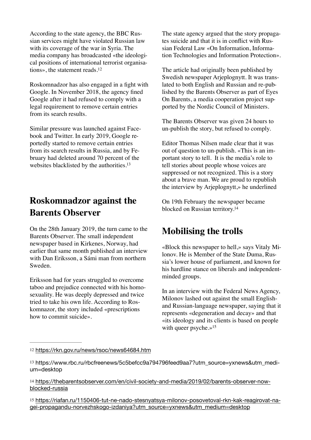According to the state agency, the BBC Russian services might have violated Russian law with its coverage of the war in Syria. The media company has broadcasted «the ideological positions of international terrorist organisations», the statement reads[.12](#page-7-0)

Roskomnadzor has also engaged in a fight with Google. In November 2018, the agency fined Google after it had refused to comply with a legal requirement to remove certain entries from its search results.

Similar pressure was launched against Facebook and Twitter. In early 2019, Google reportedly started to remove certain entries from its search results in Russia, and by February had deleted around 70 percent of the websites blacklisted by the authorities.<sup>13</sup>

# **Roskomnadzor against the Barents Observer**

On the 28th January 2019, the turn came to the Barents Observer. The small independent newspaper based in Kirkenes, Norway, had earlier that same month published an interview with Dan Eriksson, a Sámi man from northern Sweden.

Eriksson had for years struggled to overcome taboo and prejudice connected with his homosexuality. He was deeply depressed and twice tried to take his own life. According to Roskomnazor, the story included «prescriptions how to commit suicide».

The state agency argued that the story propagates suicide and that it is in conflict with Russian Federal Law «On Information, Information Technologies and Information Protection».

<span id="page-7-4"></span>The article had originally been published by Swedish newspaper Arjeplognytt. It was translated to both English and Russian and re-published by the Barents Observer as part of Eyes On Barents, a media cooperation project supported by the Nordic Council of Ministers.

The Barents Observer was given 24 hours to un-publish the story, but refused to comply.

<span id="page-7-5"></span>Editor Thomas Nilsen made clear that it was out of question to un-publish. «This is an important story to tell. It is the media's role to tell stories about people whose voices are suppressed or not recognized. This is a story about a brave man. We are proud to republish the interview by Arjeplognytt,» he underlined

<span id="page-7-6"></span>On 19th February the newspaper became blocked on Russian territory[.14](#page-7-2)

## **Mobilising the trolls**

«Block this newspaper to hell,» says Vitaly Milonov. He is Member of the State Duma, Russia's lower house of parliament, and known for his hardline stance on liberals and independentminded groups.

<span id="page-7-7"></span>In an interview with the Federal News Agency, Milonov lashed out against the small Englishand Russian-language newspaper, saying that it represents «degeneration and decay» and that «its ideology and its clients is based on people with queer psyche.[»15](#page-7-3)

<span id="page-7-2"></span>[14](#page-7-6) [https://thebarentsobserver.com/en/civil-society-and-media/2019/02/barents-observer-now](https://thebarentsobserver.com/en/civil-society-and-media/2019/02/barents-observer-now-blocked-russia)[blocked-russia](https://thebarentsobserver.com/en/civil-society-and-media/2019/02/barents-observer-now-blocked-russia)

<span id="page-7-3"></span>[15](#page-7-7) [https://riafan.ru/1150406-tut-ne-nado-stesnyatsya-milonov-posovetoval-rkn-kak-reagirovat-na](https://riafan.ru/1150406-tut-ne-nado-stesnyatsya-milonov-posovetoval-rkn-kak-reagirovat-na-gei-propagandu-norvezhskogo-izdaniya?utm_source=yxnews&utm_medium=desktop)[gei-propagandu-norvezhskogo-izdaniya?utm\\_source=yxnews&utm\\_medium=desktop](https://riafan.ru/1150406-tut-ne-nado-stesnyatsya-milonov-posovetoval-rkn-kak-reagirovat-na-gei-propagandu-norvezhskogo-izdaniya?utm_source=yxnews&utm_medium=desktop)

<span id="page-7-0"></span>[<sup>12</sup>](#page-7-4) <https://rkn.gov.ru/news/rsoc/news64684.htm>

<span id="page-7-1"></span>[<sup>13</sup>](#page-7-5) https://www.rbc.ru/rbcfreenews/5c5befcc9a794796feed9aa7?utm\_source=yxnews&utm\_medium=desktop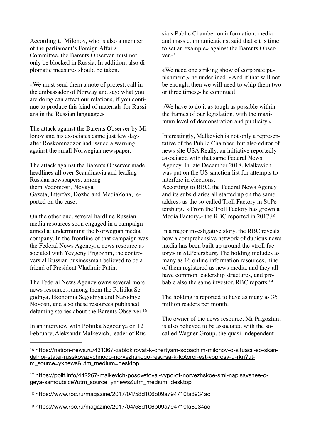According to Milonov, who is also a member of the parliament's Foreign Affairs Committee, the Barents Observer must not only be blocked in Russia. In addition, also diplomatic measures should be taken.

«We must send them a note of protest, call in the ambassador of Norway and say: what you are doing can affect our relations, if you continue to produce this kind of materials for Russians in the Russian language.»

The attack against the Barents Observer by Milonov and his associates came just few days after Roskomnadzor had issued a warning against the small Norwegian newspaper.

The attack against the Barents Observer made headlines all over Scandinavia and leading Russian newspapers, among them Vedomosti, Novaya Gazeta, Interfax, Dozhd and MediaZona, reported on the case.

On the other end, several hardline Russian media resources soon engaged in a campaign aimed at undermining the Norwegian media company. In the frontline of that campaign was the Federal News Agency, a news resource associated with Yevgeny Prigozhin, the controversial Russian businessman believed to be a friend of President Vladimir Putin.

The Federal News Agency owns several more news resources, among them the Politika Segodnya, Ekonomia Segodnya and Narodnye Novosti, and also these resources published defaming stories about the Barents Observer.[16](#page-8-0)

In an interview with Politika Segodnya on 12 February, Aleksandr Malkevich, leader of Russia's Public Chamber on information, media and mass communications, said that «it is time to set an example» against the Barents Observer[.17](#page-8-1)

<span id="page-8-5"></span>«We need one striking show of corporate punishment,» he underlined. «And if that will not be enough, then we will need to whip them two or three times,» he continued.

«We have to do it as tough as possible within the frames of our legislation, with the maximum level of demonstration and publicity.»

Interestingly, Malkevich is not only a representative of the Public Chamber, but also editor of news site USA Really, an initiative reportedly associated with that same Federal News Agency. In late December 2018, Malkevich was put on the US sanction list for attempts to interfere in elections.

According to RBC, the Federal News Agency and its subsidiaries all started up on the same address as the so-called Troll Factory in St.Petersburg. «From the Troll Factory has grown a Media Factory,» the RBC reported in 2017[.18](#page-8-2)

<span id="page-8-6"></span>In a major investigative story, the RBC reveals how a comprehensive network of dubious news media has been built up around the «troll factory» in St.Petersburg. The holding includes as many as 16 online information resources, nine of them registered as news media, and they all have common leadership structures, and probable also the same investor, RBC reports[.19](#page-8-3)

<span id="page-8-7"></span>The holding is reported to have as many as 36 million readers per month.

<span id="page-8-4"></span>The owner of the news resource, Mr Prigozhin, is also believed to be associated with the socalled Wagner Group, the quasi-independent

- <span id="page-8-2"></span>[18](#page-8-6) https://www.rbc.ru/magazine/2017/04/58d106b09a794710fa8934ac
- <span id="page-8-3"></span>[19](#page-8-7) <https://www.rbc.ru/magazine/2017/04/58d106b09a794710fa8934ac>

<span id="page-8-0"></span>[<sup>16</sup>](#page-8-4) [https://nation-news.ru/431367-zablokirovat-k-chertyam-sobachim-milonov-o-situacii-so-skan](https://nation-news.ru/431367-zablokirovat-k-chertyam-sobachim-milonov-o-situacii-so-skandalnoi-statei-russkoyazychnogo-norvezhskogo-resursa-k-kotoroi-est-voprosy-u-rkn?utm_source=yxnews&utm_medium=desktop)[dalnoi-statei-russkoyazychnogo-norvezhskogo-resursa-k-kotoroi-est-voprosy-u-rkn?ut](https://nation-news.ru/431367-zablokirovat-k-chertyam-sobachim-milonov-o-situacii-so-skandalnoi-statei-russkoyazychnogo-norvezhskogo-resursa-k-kotoroi-est-voprosy-u-rkn?utm_source=yxnews&utm_medium=desktop)[m\\_source=yxnews&utm\\_medium=desktop](https://nation-news.ru/431367-zablokirovat-k-chertyam-sobachim-milonov-o-situacii-so-skandalnoi-statei-russkoyazychnogo-norvezhskogo-resursa-k-kotoroi-est-voprosy-u-rkn?utm_source=yxnews&utm_medium=desktop)

<span id="page-8-1"></span>[<sup>17</sup>](#page-8-5) https://polit.info/442267-malkevich-posovetoval-vyporot-norvezhskoe-smi-napisavshee-ogeya-samoubiice?utm\_source=yxnews&utm\_medium=desktop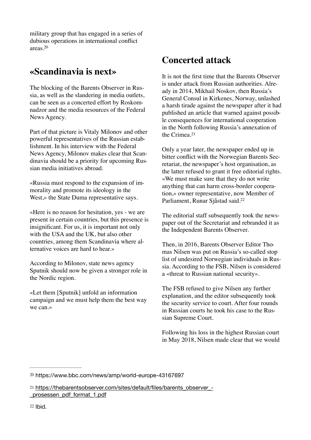<span id="page-9-3"></span>military group that has engaged in a series of dubious operations in international conflict areas[.20](#page-9-0)

## **«Scandinavia is next»**

The blocking of the Barents Observer in Russia, as well as the slandering in media outlets, can be seen as a concerted effort by Roskomnadzor and the media resources of the Federal News Agency.

Part of that picture is Vitaly Milonov and other powerful representatives of the Russian establishment. In his interview with the Federal News Agency, Milonov makes clear that Scandinavia should be a priority for upcoming Russian media initiatives abroad.

«Russia must respond to the expansion of immorality and promote its ideology in the West.» the State Duma representative says.

«Here is no reason for hesitation, yes - we are present in certain countries, but this presence is insignificant. For us, it is important not only with the USA and the UK, but also other countries, among them Scandinavia where alternative voices are hard to hear.»

According to Milonov, state news agency Sputnik should now be given a stronger role in the Nordic region.

«Let them [Sputnik] unfold an information campaign and we must help them the best way we can.»

## **Concerted attack**

It is not the first time that the Barents Observer is under attack from Russian authorities. Already in 2014, Mikhail Noskov, then Russia's General Consul in Kirkenes, Norway, unlashed a harsh tirade against the newspaper after it had published an article that warned against possible consequences for international cooperation in the North following Russia's annexation of the Crimea.[21](#page-9-1)

<span id="page-9-4"></span>Only a year later, the newspaper ended up in bitter conflict with the Norwegian Barents Secretariat, the newspaper's host organisation, as the latter refused to grant it free editorial rights. «We must make sure that they do not write anything that can harm cross-border cooperation,» owner representative, now Member of Parliament, Runar Sjåstad said[.22](#page-9-2)

<span id="page-9-5"></span>The editorial staff subsequently took the newspaper out of the Secretariat and rebranded it as the Independent Barents Observer.

Then, in 2016, Barents Observer Editor Thomas Nilsen was put on Russia's so-called stop list of undesired Norwegian individuals in Russia. According to the FSB, Nilsen is considered a «threat to Russian national security».

The FSB refused to give Nilsen any further explanation, and the editor subsequently took the security service to court. After four rounds in Russian courts he took his case to the Russian Supreme Court.

Following his loss in the highest Russian court in May 2018, Nilsen made clear that we would

<span id="page-9-0"></span>[<sup>20</sup>](#page-9-3) https://www.bbc.com/news/amp/world-europe-43167697

<span id="page-9-2"></span><span id="page-9-1"></span>[<sup>21</sup>](#page-9-4) [https://thebarentsobserver.com/sites/default/files/barents\\_observer\\_-](https://thebarentsobserver.com/sites/default/files/barents_observer_-_prosessen_pdf_format_1.pdf) [\\_prosessen\\_pdf\\_format\\_1.pdf](https://thebarentsobserver.com/sites/default/files/barents_observer_-_prosessen_pdf_format_1.pdf)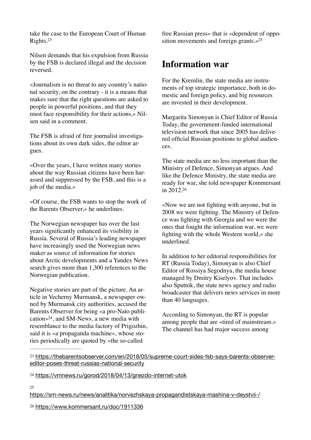<span id="page-10-4"></span>take the case to the European Court of Human Rights[.23](#page-10-0)

Nilsen demands that his expulsion from Russia by the FSB is declared illegal and the decision reversed.

«Journalism is no threat to any country's national security, on the contrary - it is a means that makes sure that the right questions are asked to people in powerful positions, and that they must face responsibility for their actions,» Nilsen said in a comment.

The FSB is afraid of free journalist investigations about its own dark sides, the editor argues.

«Over the years, I have written many stories about the way Russian citizens have been harassed and suppressed by the FSB, and this is a job of the media.»

«Of course, the FSB wants to stop the work of the Barents Observer,» he underlines.

The Norwegian newspaper has over the last years significantly enhanced its visibility in Russia. Several of Russia's leading newspaper have increasingly used the Norwegian news maker as source of information for stories about Arctic developments and a Yandex News search gives more than 1,300 references to the Norwegian publication.

<span id="page-10-5"></span>Negative stories are part of the picture. An article in Vecherny Murmansk, a newspaper owned by Murmansk city authorities, accused the Barents Observer for being «a pro-Nato publication» $24$ , and SM-News, a new media with resemblance to the media factory of Prigozhin, said it is «a propaganda machine», whose stories periodically are quoted by «the so-called

<span id="page-10-6"></span>free Russian press» that is «dependent of opposition movements and foreign grants.[»25](#page-10-2)

### **Information war**

For the Kremlin, the state media are instruments of top strategic importance, both in domestic and foreign policy, and big resources are invested in their development.

Margarita Simonyan is Chief Editor of Russia Today, the government-funded international television network that since 2005 has delivered official Russian positions to global audiences.

The state media are no less important than the Ministry of Defence, Simonyan argues. And like the Defence Ministry, the state media are ready for war, she told newspaper Kommersant in 2012[.26](#page-10-3)

<span id="page-10-7"></span>«Now we are not fighting with anyone, but in 2008 we were fighting. The Ministry of Defence was fighting with Georgia and we were the ones that fought the information war, we were fighting with the whole Western world,» she underlined.

In addition to her editorial responsibilities for RT (Russia Today), Simonyan is also Chief Editor of Rossiya Segodnya, the media house managed by Dmitry Kiselyov. That includes also Sputnik, the state news agency and radio broadcaster that delivers news services in more than 40 languages.

According to Simonyan, the RT is popular among people that are «tired of mainstream.» The channel has had major success among

<span id="page-10-2"></span> $25$ 

<https://sm-news.ru/news/analitika/norvezhskaya-propagandistskaya-mashina-v-deystvii-/>

<span id="page-10-3"></span>[26](#page-10-7) <https://www.kommersant.ru/doc/1911336>

<span id="page-10-0"></span>[<sup>23</sup>](#page-10-4) [https://thebarentsobserver.com/en/2018/05/supreme-court-sides-fsb-says-barents-observer](https://thebarentsobserver.com/en/2018/05/supreme-court-sides-fsb-says-barents-observer-editor-poses-threat-russias-national-security)[editor-poses-threat-russias-national-security](https://thebarentsobserver.com/en/2018/05/supreme-court-sides-fsb-says-barents-observer-editor-poses-threat-russias-national-security)

<span id="page-10-1"></span>[<sup>24</sup>](#page-10-5) <https://vmnews.ru/gorod/2018/04/13/gnezdo-internet-utok>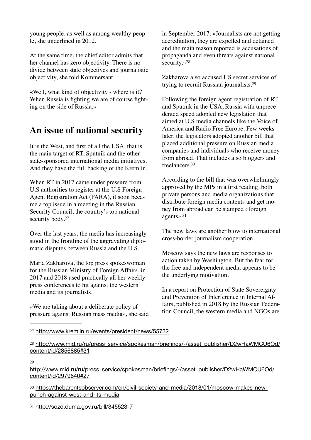young people, as well as among wealthy people, she underlined in 2012.

At the same time, the chief editor admits that her channel has zero objectivity. There is no divide between state objectives and journalistic objectivity, she told Kommersant.

«Well, what kind of objectivity - where is it? When Russia is fighting we are of course fighting on the side of Russia.»

## **An issue of national security**

It is the West, and first of all the USA, that is the main target of RT, Sputnik and the other state-sponsored international media initiatives. And they have the full backing of the Kremlin.

When RT in 2017 came under pressure from U.S authorities to register at the U.S Foreign Agent Registration Act (FARA), it soon became a top issue in a meeting in the Russian Security Council, the country's top national security body.<sup>27</sup>

<span id="page-11-5"></span>Over the last years, the media has increasingly stood in the frontline of the aggravating diplomatic disputes between Russia and the U.S.

Maria Zakharova, the top press spokeswoman for the Russian Ministry of Foreign Affairs, in 2017 and 2018 used practically all her weekly press conferences to hit against the western media and its journalists.

«We are taking about a deliberate policy of pressure against Russian mass media», she said in September 2017. «Journalists are not getting accreditation, they are expelled and detained and the main reason reported is accusations of propaganda and even threats against national security.[»28](#page-11-1)

<span id="page-11-7"></span><span id="page-11-6"></span>Zakharova also accused US secret services of trying to recruit Russian journalists[.29](#page-11-2)

Following the foreign agent registration of RT and Sputnik in the USA, Russia with unprecedented speed adopted new legislation that aimed at U.S media channels like the Voice of America and Radio Free Europe. Few weeks later, the legislators adopted another bill that placed additional pressure on Russian media companies and individuals who receive money from abroad. That includes also bloggers and freelancers[.30](#page-11-3)

<span id="page-11-8"></span>According to the bill that was overwhelmingly approved by the MPs in a first reading, both private persons and media organizations that distribute foreign media contents and get money from abroad can be stamped «foreign agents»[.31](#page-11-4)

<span id="page-11-9"></span>The new laws are another blow to international cross-border journalism cooperation.

Moscow says the new laws are responses to action taken by Washington. But the fear for the free and independent media appears to be the underlying motivation.

In a report on Protection of State Sovereignty and Prevention of Interference in Internal Affairs, published in 2018 by the Russian Federation Council, the western media and NGOs are

<span id="page-11-2"></span> $29$ 

[http://www.mid.ru/ru/press\\_service/spokesman/briefings/-/asset\\_publisher/D2wHaWMCU6Od/](http://www.mid.ru/ru/press_service/spokesman/briefings/-/asset_publisher/D2wHaWMCU6Od/content/id/2979640%2327) [content/id/2979640#27](http://www.mid.ru/ru/press_service/spokesman/briefings/-/asset_publisher/D2wHaWMCU6Od/content/id/2979640%2327)

<span id="page-11-3"></span>[30](#page-11-8) [https://thebarentsobserver.com/en/civil-society-and-media/2018/01/moscow-makes-new](https://thebarentsobserver.com/en/civil-society-and-media/2018/01/moscow-makes-new-punch-against-west-and-its-media)[punch-against-west-and-its-media](https://thebarentsobserver.com/en/civil-society-and-media/2018/01/moscow-makes-new-punch-against-west-and-its-media)

<span id="page-11-4"></span>[31](#page-11-9) http://sozd.duma.gov.ru/bill/345523-7

<span id="page-11-0"></span>[<sup>27</sup>](#page-11-5) <http://www.kremlin.ru/events/president/news/55732>

<span id="page-11-1"></span>[<sup>28</sup>](#page-11-6) [http://www.mid.ru/ru/press\\_service/spokesman/briefings/-/asset\\_publisher/D2wHaWMCU6Od/](http://www.mid.ru/ru/press_service/spokesman/briefings/-/asset_publisher/D2wHaWMCU6Od/content/id/2856885%2331) [content/id/2856885#31](http://www.mid.ru/ru/press_service/spokesman/briefings/-/asset_publisher/D2wHaWMCU6Od/content/id/2856885%2331)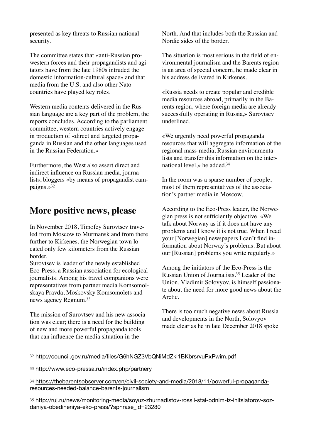presented as key threats to Russian national security.

The committee states that «anti-Russian prowestern forces and their propagandists and agitators have from the late 1980s intruded the domestic information-cultural space» and that media from the U.S. and also other Nato countries have played key roles.

Western media contents delivered in the Russian language are a key part of the problem, the reports concludes. According to the parliament committee, western countries actively engage in production of «direct and targeted propaganda in Russian and the other languages used in the Russian Federation.»

<span id="page-12-4"></span>Furthermore, the West also assert direct and indirect influence on Russian media, journalists, bloggers «by means of propagandist campaigns.[»32](#page-12-0)

#### **More positive news, please**

In November 2018, Timofey Surovtsev traveled from Moscow to Murmansk and from there further to Kirkenes, the Norwegian town located only few kilometers from the Russian border.

Surovtsev is leader of the newly established Eco-Press, a Russian association for ecological journalists. Among his travel companions were representatives from partner media Komsomolskaya Pravda, Moskovsky Komsomolets and news agency Regnum[.33](#page-12-1)

<span id="page-12-5"></span>The mission of Surovtsev and his new association was clear; there is a need for the building of new and more powerful propaganda tools that can influence the media situation in the

North. And that includes both the Russian and Nordic sides of the border.

The situation is most serious in the field of environmental journalism and the Barents region is an area of special concern, he made clear in his address delivered in Kirkenes.

«Russia needs to create popular and credible media resources abroad, primarily in the Barents region, where foreign media are already successfully operating in Russia,» Surovtsev underlined.

«We urgently need powerful propaganda resources that will aggregate information of the regional mass-media, Russian environmentalists and transfer this information on the international level,» he added[.34](#page-12-2)

<span id="page-12-6"></span>In the room was a sparse number of people, most of them representatives of the association's partner media in Moscow.

According to the Eco-Press leader, the Norwegian press is not sufficiently objective. «We talk about Norway as if it does not have any problems and I know it is not true. When I read your [Norwegian] newspapers I can't find information about Norway's problems. But about our [Russian] problems you write regularly.»

<span id="page-12-7"></span>Among the initiators of the Eco-Press is the Russian Union of Journalists[.](#page-12-3)<sup>[35](#page-12-3)</sup> Leader of the Union, Vladimir Solovyov, is himself passionate about the need for more good news about the Arctic.

There is too much negative news about Russia and developments in the North, Solovyov made clear as he in late December 2018 spoke

<span id="page-12-3"></span>[35](#page-12-7) http://ruj.ru/news/monitoring-media/soyuz-zhurnadistov-rossii-stal-odnim-iz-initsiatorov-sozdaniya-obedineniya-eko-press/?sphrase\_id=23280

<span id="page-12-0"></span>[<sup>32</sup>](#page-12-4) <http://council.gov.ru/media/files/G6hNGZ3VbQNiMdZki1BKbrsrvuRxPwim.pdf>

<span id="page-12-1"></span>[<sup>33</sup>](#page-12-5) http://www.eco-pressa.ru/index.php/partnery

<span id="page-12-2"></span>[<sup>34</sup>](#page-12-6) [https://thebarentsobserver.com/en/civil-society-and-media/2018/11/powerful-propaganda](https://thebarentsobserver.com/en/civil-society-and-media/2018/11/powerful-propaganda-resources-needed-balance-barents-journalism)[resources-needed-balance-barents-journalism](https://thebarentsobserver.com/en/civil-society-and-media/2018/11/powerful-propaganda-resources-needed-balance-barents-journalism)